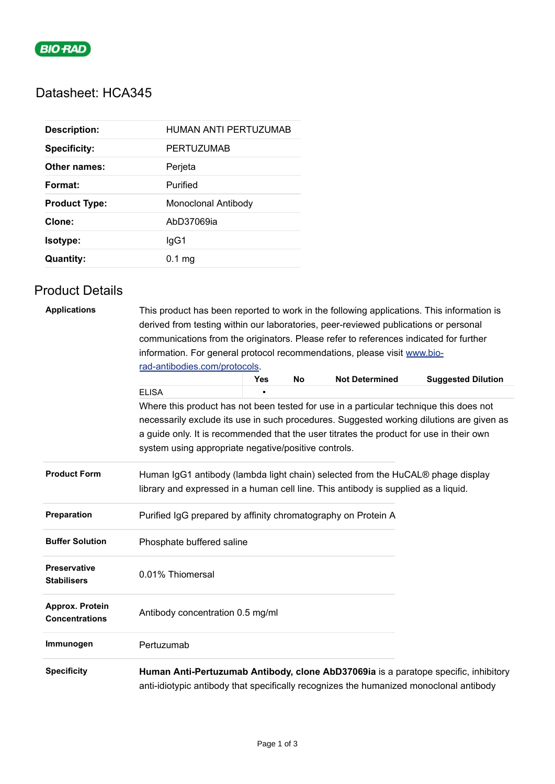

# Datasheet: HCA345

| <b>Description:</b>  | HUMAN ANTI PERTUZUMAB |
|----------------------|-----------------------|
| <b>Specificity:</b>  | <b>PERTUZUMAB</b>     |
| Other names:         | Perjeta               |
| Format:              | Purified              |
| <b>Product Type:</b> | Monoclonal Antibody   |
| Clone:               | AbD37069ia            |
| Isotype:             | lgG1                  |
| <b>Quantity:</b>     | $0.1$ mg              |

## Product Details

| <b>Applications</b>                       | This product has been reported to work in the following applications. This information is<br>derived from testing within our laboratories, peer-reviewed publications or personal |            |           |                       |                                                                                          |  |  |
|-------------------------------------------|-----------------------------------------------------------------------------------------------------------------------------------------------------------------------------------|------------|-----------|-----------------------|------------------------------------------------------------------------------------------|--|--|
|                                           | communications from the originators. Please refer to references indicated for further<br>information. For general protocol recommendations, please visit www.bio-                 |            |           |                       |                                                                                          |  |  |
|                                           |                                                                                                                                                                                   |            |           |                       |                                                                                          |  |  |
|                                           | rad-antibodies.com/protocols.                                                                                                                                                     |            |           |                       |                                                                                          |  |  |
|                                           |                                                                                                                                                                                   | <b>Yes</b> | <b>No</b> | <b>Not Determined</b> | <b>Suggested Dilution</b>                                                                |  |  |
|                                           | <b>ELISA</b>                                                                                                                                                                      |            |           |                       |                                                                                          |  |  |
|                                           | Where this product has not been tested for use in a particular technique this does not                                                                                            |            |           |                       |                                                                                          |  |  |
|                                           |                                                                                                                                                                                   |            |           |                       | necessarily exclude its use in such procedures. Suggested working dilutions are given as |  |  |
|                                           | a guide only. It is recommended that the user titrates the product for use in their own                                                                                           |            |           |                       |                                                                                          |  |  |
|                                           | system using appropriate negative/positive controls.                                                                                                                              |            |           |                       |                                                                                          |  |  |
| <b>Product Form</b>                       | Human IgG1 antibody (lambda light chain) selected from the HuCAL® phage display<br>library and expressed in a human cell line. This antibody is supplied as a liquid.             |            |           |                       |                                                                                          |  |  |
| Preparation                               | Purified IgG prepared by affinity chromatography on Protein A                                                                                                                     |            |           |                       |                                                                                          |  |  |
| <b>Buffer Solution</b>                    | Phosphate buffered saline                                                                                                                                                         |            |           |                       |                                                                                          |  |  |
| <b>Preservative</b><br><b>Stabilisers</b> | 0.01% Thiomersal                                                                                                                                                                  |            |           |                       |                                                                                          |  |  |
| Approx. Protein<br><b>Concentrations</b>  | Antibody concentration 0.5 mg/ml                                                                                                                                                  |            |           |                       |                                                                                          |  |  |
| Immunogen                                 | Pertuzumab                                                                                                                                                                        |            |           |                       |                                                                                          |  |  |
| <b>Specificity</b>                        | anti-idiotypic antibody that specifically recognizes the humanized monoclonal antibody                                                                                            |            |           |                       | Human Anti-Pertuzumab Antibody, clone AbD37069ia is a paratope specific, inhibitory      |  |  |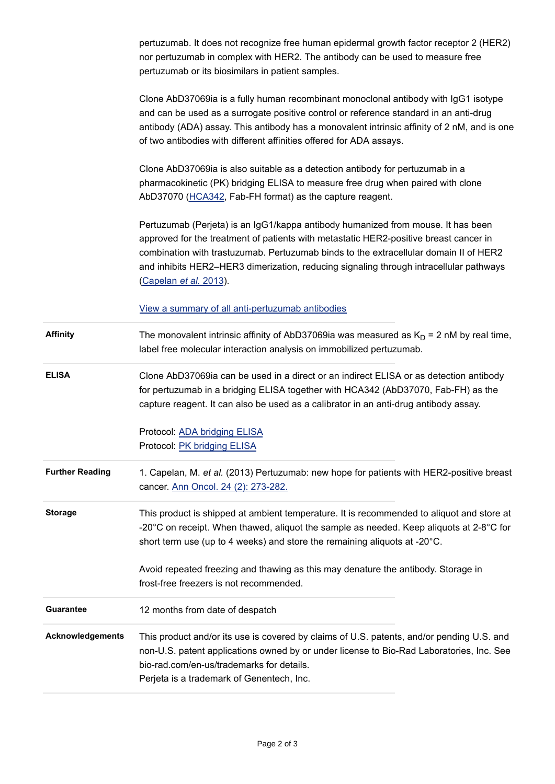| pertuzumab. It does not recognize free human epidermal growth factor receptor 2 (HER2) |
|----------------------------------------------------------------------------------------|
| nor pertuzumab in complex with HER2. The antibody can be used to measure free          |
| pertuzumab or its biosimilars in patient samples.                                      |

Clone AbD37069ia is a fully human recombinant monoclonal antibody with IgG1 isotype and can be used as a surrogate positive control or reference standard in an anti-drug antibody (ADA) assay. This antibody has a monovalent intrinsic affinity of 2 nM, and is one of two antibodies with different affinities offered for ADA assays.

Clone AbD37069ia is also suitable as a detection antibody for pertuzumab in a pharmacokinetic (PK) bridging ELISA to measure free drug when paired with clone AbD37070 [\(HCA342,](https://www.bio-rad-antibodies.com/product/partnumber/HCA342.html) Fab-FH format) as the capture reagent.

Pertuzumab (Perjeta) is an IgG1/kappa antibody humanized from mouse. It has been approved for the treatment of patients with metastatic HER2-positive breast cancer in combination with trastuzumab. Pertuzumab binds to the extracellular domain II of HER2 and inhibits HER2–HER3 dimerization, reducing signaling through intracellular pathways [\(Capelan](https://pubmed.ncbi.nlm.nih.gov/22910839/) *et al.* 2013).

[View a summary of all anti-pertuzumab antibodies](https://www.bio-rad-antibodies.com/anti-pertuzumab-antibody-perjeta.html)

- **Affinity** The monovalent intrinsic affinity of AbD37069ia was measured as  $K_D = 2$  nM by real time, label free molecular interaction analysis on immobilized pertuzumab.
- **ELISA** Clone AbD37069ia can be used in a direct or an indirect ELISA or as detection antibody for pertuzumab in a bridging ELISA together with HCA342 (AbD37070, Fab-FH) as the capture reagent. It can also be used as a calibrator in an anti-drug antibody assay.

Protocol: [ADA bridging ELISA](https://www.bio-rad-antibodies.com/protocol-ada-bridging-elisa-anti-pertuzumab-antibodies.html) Protocol: [PK bridging ELISA](https://www.bio-rad-antibodies.com/protocol-pk-bridging-elisa-pertuzumab-antibodies.html)

- **Further Reading** 1. Capelan, M. *et al.* (2013) Pertuzumab: new hope for patients with HER2-positive breast cancer. [Ann Oncol. 24 \(2\): 273-282.](http://www.ncbi.nlm.nih.gov/pubmed/22910839)
- **Storage** This product is shipped at ambient temperature. It is recommended to aliquot and store at -20 $\degree$ C on receipt. When thawed, aliquot the sample as needed. Keep aliquots at 2-8 $\degree$ C for short term use (up to 4 weeks) and store the remaining aliquots at -20°C.

Avoid repeated freezing and thawing as this may denature the antibody. Storage in frost-free freezers is not recommended.

**Guarantee** 12 months from date of despatch **Acknowledgements** This product and/or its use is covered by claims of U.S. patents, and/or pending U.S. and non-U.S. patent applications owned by or under license to Bio-Rad Laboratories, Inc. See bio-rad.com/en-us/trademarks for details. Perjeta is a trademark of Genentech, Inc.